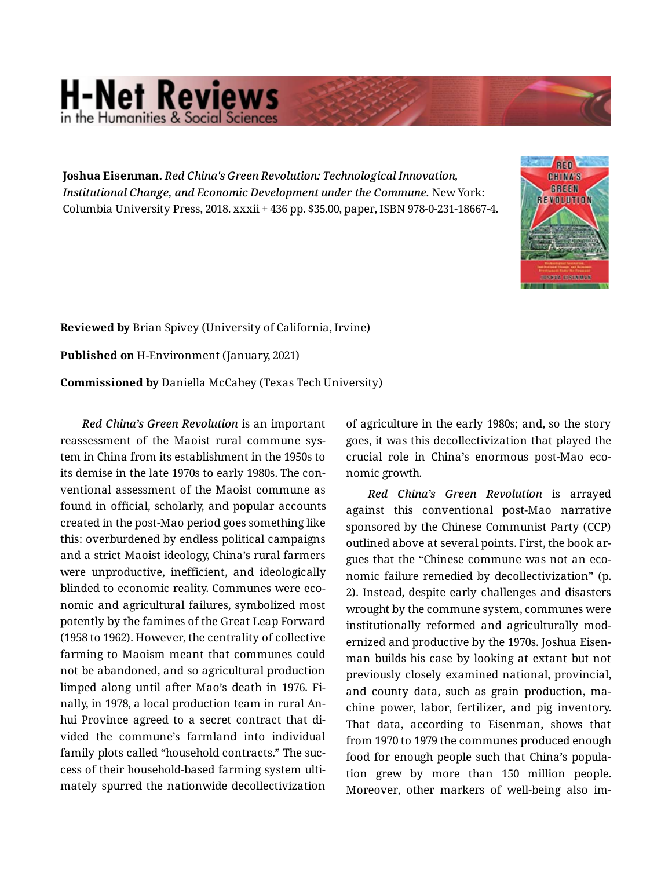## **H-Net Reviews** in the Humanities & Social Scie

**Joshua Eisenman.** *Red China's Green Revolution: Technological Innovation, Institutional Change, and Economic Development under the Commune.* New York: Columbia University Press, 2018. xxxii + 436 pp. \$35.00, paper, ISBN 978-0-231-18667-4.



**Reviewed by** Brian Spivey (University of California, Irvine) **Published on** H-Environment (January, 2021) **Commissioned by** Daniella McCahey (Texas Tech University)

*Red China's Green Revolution* is an important reassessment of the Maoist rural commune sys‐ tem in China from its establishment in the 1950s to its demise in the late 1970s to early 1980s. The con‐ ventional assessment of the Maoist commune as found in official, scholarly, and popular accounts created in the post-Mao period goes something like this: overburdened by endless political campaigns and a strict Maoist ideology, China's rural farmers were unproductive, inefficient, and ideologically blinded to economic reality. Communes were eco‐ nomic and agricultural failures, symbolized most potently by the famines of the Great Leap Forward (1958 to 1962). However, the centrality of collective farming to Maoism meant that communes could not be abandoned, and so agricultural production limped along until after Mao's death in 1976. Fi‐ nally, in 1978, a local production team in rural An‐ hui Province agreed to a secret contract that di‐ vided the commune's farmland into individual family plots called "household contracts." The suc‐ cess of their household-based farming system ulti‐ mately spurred the nationwide decollectivization

of agriculture in the early 1980s; and, so the story goes, it was this decollectivization that played the crucial role in China's enormous post-Mao eco‐ nomic growth.

*Red China's Green Revolution* is arrayed against this conventional post-Mao narrative sponsored by the Chinese Communist Party (CCP) outlined above at several points. First, the book ar‐ gues that the "Chinese commune was not an eco‐ nomic failure remedied by decollectivization" (p. 2). Instead, despite early challenges and disasters wrought by the commune system, communes were institutionally reformed and agriculturally mod‐ ernized and productive by the 1970s. Joshua Eisen‐ man builds his case by looking at extant but not previously closely examined national, provincial, and county data, such as grain production, ma‐ chine power, labor, fertilizer, and pig inventory. That data, according to Eisenman, shows that from 1970 to 1979 the communes produced enough food for enough people such that China's popula‐ tion grew by more than 150 million people. Moreover, other markers of well-being also im‐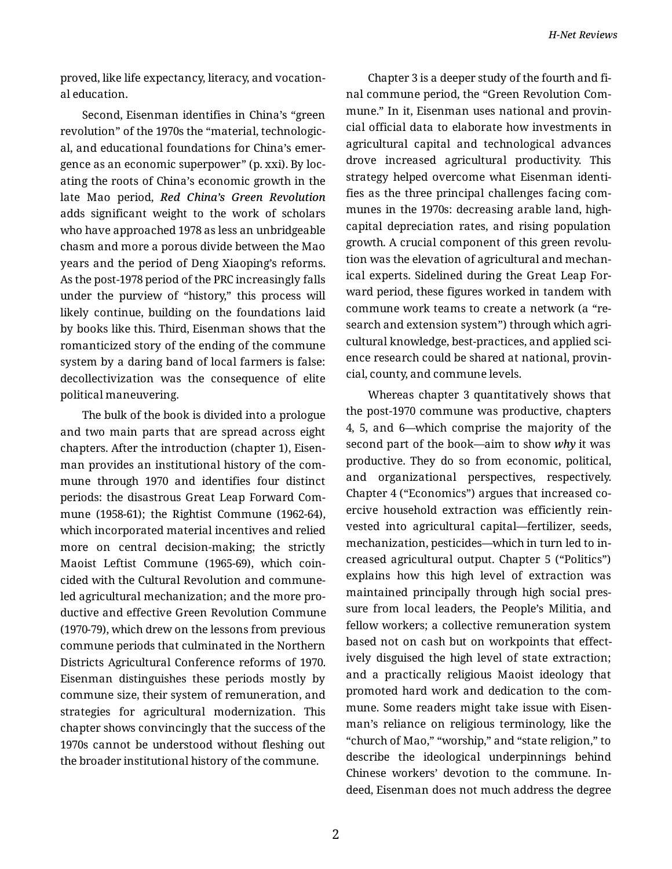proved, like life expectancy, literacy, and vocation‐ al education.

Second, Eisenman identifies in China's "green revolution" of the 1970s the "material, technologic‐ al, and educational foundations for China's emer‐ gence as an economic superpower" (p. xxi). By loc‐ ating the roots of China's economic growth in the late Mao period, *Red China's Green Revolution* adds significant weight to the work of scholars who have approached 1978 as less an unbridgeable chasm and more a porous divide between the Mao years and the period of Deng Xiaoping's reforms. As the post-1978 period of the PRC increasingly falls under the purview of "history," this process will likely continue, building on the foundations laid by books like this. Third, Eisenman shows that the romanticized story of the ending of the commune system by a daring band of local farmers is false: decollectivization was the consequence of elite political maneuvering.

The bulk of the book is divided into a prologue and two main parts that are spread across eight chapters. After the introduction (chapter 1), Eisen‐ man provides an institutional history of the com‐ mune through 1970 and identifies four distinct periods: the disastrous Great Leap Forward Com‐ mune (1958-61); the Rightist Commune (1962-64), which incorporated material incentives and relied more on central decision-making; the strictly Maoist Leftist Commune (1965-69), which coin‐ cided with the Cultural Revolution and communeled agricultural mechanization; and the more pro‐ ductive and effective Green Revolution Commune (1970-79), which drew on the lessons from previous commune periods that culminated in the Northern Districts Agricultural Conference reforms of 1970. Eisenman distinguishes these periods mostly by commune size, their system of remuneration, and strategies for agricultural modernization. This chapter shows convincingly that the success of the 1970s cannot be understood without fleshing out the broader institutional history of the commune.

Chapter 3 is a deeper study of the fourth and fi‐ nal commune period, the "Green Revolution Com‐ mune." In it, Eisenman uses national and provin‐ cial official data to elaborate how investments in agricultural capital and technological advances drove increased agricultural productivity. This strategy helped overcome what Eisenman identi‐ fies as the three principal challenges facing com‐ munes in the 1970s: decreasing arable land, highcapital depreciation rates, and rising population growth. A crucial component of this green revolu‐ tion was the elevation of agricultural and mechan‐ ical experts. Sidelined during the Great Leap For‐ ward period, these figures worked in tandem with commune work teams to create a network (a "re‐ search and extension system") through which agri‐ cultural knowledge, best-practices, and applied sci‐ ence research could be shared at national, provin‐ cial, county, and commune levels.

Whereas chapter 3 quantitatively shows that the post-1970 commune was productive, chapters 4, 5, and 6—which comprise the majority of the second part of the book—aim to show *why* it was productive. They do so from economic, political, and organizational perspectives, respectively. Chapter 4 ("Economics") argues that increased co‐ ercive household extraction was efficiently rein‐ vested into agricultural capital—fertilizer, seeds, mechanization, pesticides—which in turn led to in‐ creased agricultural output. Chapter 5 ("Politics") explains how this high level of extraction was maintained principally through high social pres‐ sure from local leaders, the People's Militia, and fellow workers; a collective remuneration system based not on cash but on workpoints that effect‐ ively disguised the high level of state extraction; and a practically religious Maoist ideology that promoted hard work and dedication to the com‐ mune. Some readers might take issue with Eisen‐ man's reliance on religious terminology, like the "church of Mao," "worship," and "state religion," to describe the ideological underpinnings behind Chinese workers' devotion to the commune. In‐ deed, Eisenman does not much address the degree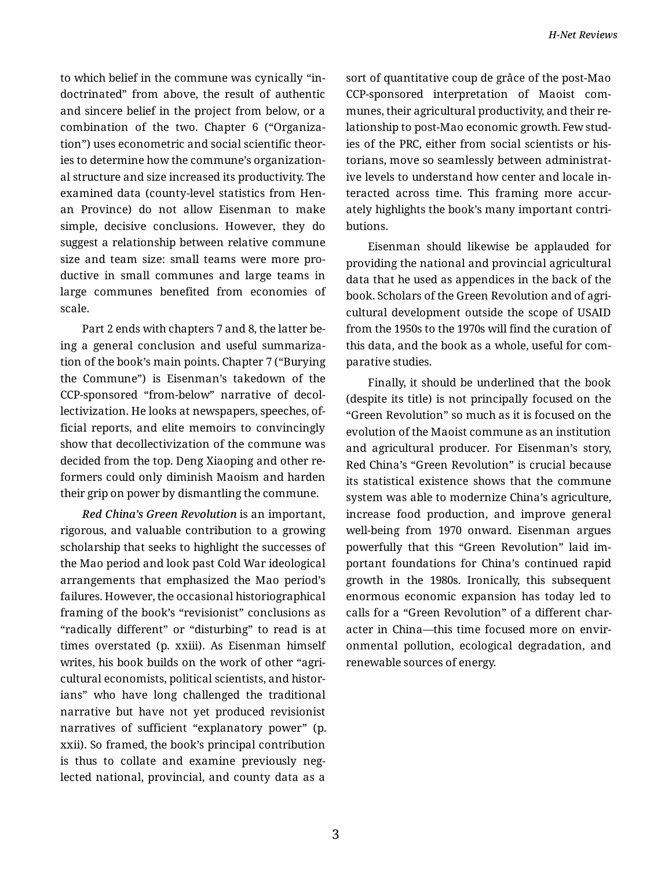to which belief in the commune was cynically "in‐ doctrinated" from above, the result of authentic and sincere belief in the project from below, or a combination of the two. Chapter 6 ("Organiza‐ tion") uses econometric and social scientific theor‐ ies to determine how the commune's organization‐ al structure and size increased its productivity. The examined data (county-level statistics from Hen‐ an Province) do not allow Eisenman to make simple, decisive conclusions. However, they do suggest a relationship between relative commune size and team size: small teams were more pro‐ ductive in small communes and large teams in large communes benefited from economies of scale.

Part 2 ends with chapters 7 and 8, the latter be‐ ing a general conclusion and useful summariza‐ tion of the book's main points. Chapter 7 ("Burying the Commune") is Eisenman's takedown of the CCP-sponsored "from-below" narrative of decol‐ lectivization. He looks at newspapers, speeches, of‐ ficial reports, and elite memoirs to convincingly show that decollectivization of the commune was decided from the top. Deng Xiaoping and other re‐ formers could only diminish Maoism and harden their grip on power by dismantling the commune.

*Red China's Green Revolution* is an important, rigorous, and valuable contribution to a growing scholarship that seeks to highlight the successes of the Mao period and look past Cold War ideological arrangements that emphasized the Mao period's failures. However, the occasional historiographical framing of the book's "revisionist" conclusions as "radically different" or "disturbing" to read is at times overstated (p. xxiii). As Eisenman himself writes, his book builds on the work of other "agri‐ cultural economists, political scientists, and histor‐ ians" who have long challenged the traditional narrative but have not yet produced revisionist narratives of sufficient "explanatory power" (p. xxii). So framed, the book's principal contribution is thus to collate and examine previously neg‐ lected national, provincial, and county data as a

sort of quantitative coup de grâce of the post-Mao CCP-sponsored interpretation of Maoist com‐ munes, their agricultural productivity, and their re‐ lationship to post-Mao economic growth. Few stud‐ ies of the PRC, either from social scientists or his‐ torians, move so seamlessly between administrat‐ ive levels to understand how center and locale in‐ teracted across time. This framing more accur‐ ately highlights the book's many important contri‐ butions.

Eisenman should likewise be applauded for providing the national and provincial agricultural data that he used as appendices in the back of the book. Scholars of the Green Revolution and of agri‐ cultural development outside the scope of USAID from the 1950s to the 1970s will find the curation of this data, and the book as a whole, useful for com‐ parative studies.

Finally, it should be underlined that the book (despite its title) is not principally focused on the "Green Revolution" so much as it is focused on the evolution of the Maoist commune as an institution and agricultural producer. For Eisenman's story, Red China's "Green Revolution" is crucial because its statistical existence shows that the commune system was able to modernize China's agriculture, increase food production, and improve general well-being from 1970 onward. Eisenman argues powerfully that this "Green Revolution" laid im‐ portant foundations for China's continued rapid growth in the 1980s. Ironically, this subsequent enormous economic expansion has today led to calls for a "Green Revolution" of a different char‐ acter in China—this time focused more on envir‐ onmental pollution, ecological degradation, and renewable sources of energy.